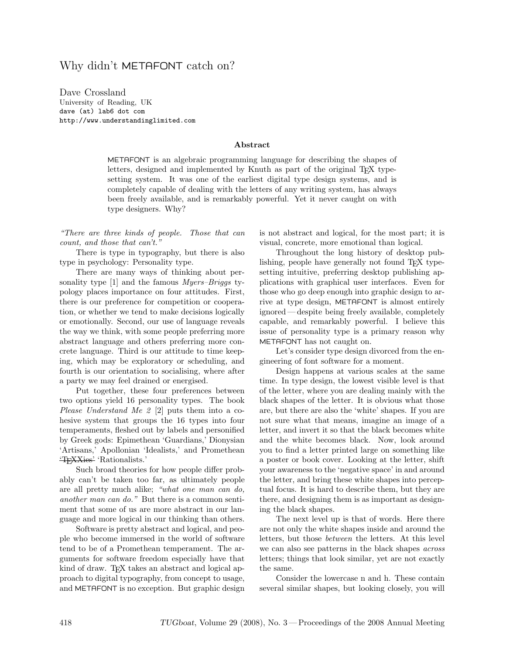## Why didn't METAFONT catch on?

Dave Crossland University of Reading, UK dave (at) lab6 dot com http://www.understandinglimited.com

## Abstract

METAFONT is an algebraic programming language for describing the shapes of letters, designed and implemented by Knuth as part of the original T<sub>EX</sub> typesetting system. It was one of the earliest digital type design systems, and is completely capable of dealing with the letters of any writing system, has always been freely available, and is remarkably powerful. Yet it never caught on with type designers. Why?

"There are three kinds of people. Those that can count, and those that can't."

There is type in typography, but there is also type in psychology: Personality type.

There are many ways of thinking about personality type  $[1]$  and the famous *Myers–Briggs* typology places importance on four attitudes. First, there is our preference for competition or cooperation, or whether we tend to make decisions logically or emotionally. Second, our use of language reveals the way we think, with some people preferring more abstract language and others preferring more concrete language. Third is our attitude to time keeping, which may be exploratory or scheduling, and fourth is our orientation to socialising, where after a party we may feel drained or energised.

Put together, these four preferences between two options yield 16 personality types. The book Please Understand Me 2 [\[2\]](#page-2-1) puts them into a cohesive system that groups the 16 types into four temperaments, fleshed out by labels and personified by Greek gods: Epimethean 'Guardians,' Dionysian 'Artisans,' Apollonian 'Idealists,' and Promethean 'TEXXies' 'Rationalists.'

Such broad theories for how people differ probably can't be taken too far, as ultimately people are all pretty much alike; "what one man can do, another man can do." But there is a common sentiment that some of us are more abstract in our language and more logical in our thinking than others.

Software is pretty abstract and logical, and people who become immersed in the world of software tend to be of a Promethean temperament. The arguments for software freedom especially have that kind of draw. TEX takes an abstract and logical approach to digital typography, from concept to usage, and METAFONT is no exception. But graphic design is not abstract and logical, for the most part; it is visual, concrete, more emotional than logical.

Throughout the long history of desktop publishing, people have generally not found T<sub>EX</sub> typesetting intuitive, preferring desktop publishing applications with graphical user interfaces. Even for those who go deep enough into graphic design to arrive at type design, METAFONT is almost entirely ignored — despite being freely available, completely capable, and remarkably powerful. I believe this issue of personality type is a primary reason why METAFONT has not caught on.

Let's consider type design divorced from the engineering of font software for a moment.

Design happens at various scales at the same time. In type design, the lowest visible level is that of the letter, where you are dealing mainly with the black shapes of the letter. It is obvious what those are, but there are also the 'white' shapes. If you are not sure what that means, imagine an image of a letter, and invert it so that the black becomes white and the white becomes black. Now, look around you to find a letter printed large on something like a poster or book cover. Looking at the letter, shift your awareness to the 'negative space' in and around the letter, and bring these white shapes into perceptual focus. It is hard to describe them, but they are there, and designing them is as important as designing the black shapes.

The next level up is that of words. Here there are not only the white shapes inside and around the letters, but those between the letters. At this level we can also see patterns in the black shapes across letters; things that look similar, yet are not exactly the same.

Consider the lowercase n and h. These contain several similar shapes, but looking closely, you will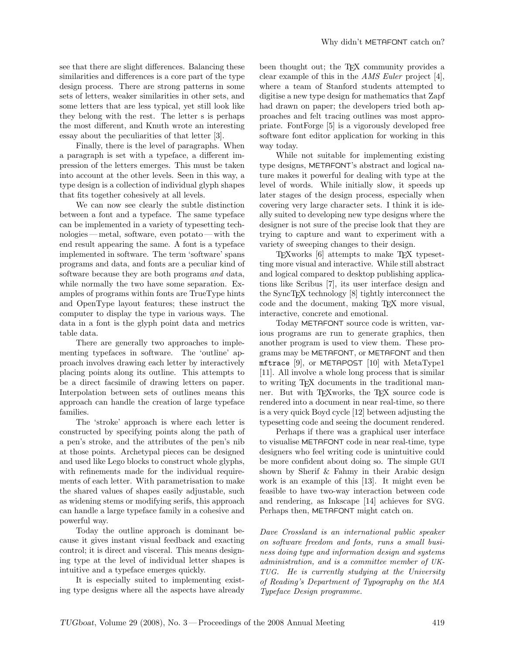see that there are slight differences. Balancing these similarities and differences is a core part of the type design process. There are strong patterns in some sets of letters, weaker similarities in other sets, and some letters that are less typical, yet still look like they belong with the rest. The letter s is perhaps the most different, and Knuth wrote an interesting essay about the peculiarities of that letter [\[3\]](#page-2-2).

Finally, there is the level of paragraphs. When a paragraph is set with a typeface, a different impression of the letters emerges. This must be taken into account at the other levels. Seen in this way, a type design is a collection of individual glyph shapes that fits together cohesively at all levels.

We can now see clearly the subtle distinction between a font and a typeface. The same typeface can be implemented in a variety of typesetting technologies — metal, software, even potato — with the end result appearing the same. A font is a typeface implemented in software. The term 'software' spans programs and data, and fonts are a peculiar kind of software because they are both programs and data, while normally the two have some separation. Examples of programs within fonts are TrueType hints and OpenType layout features; these instruct the computer to display the type in various ways. The data in a font is the glyph point data and metrics table data.

There are generally two approaches to implementing typefaces in software. The 'outline' approach involves drawing each letter by interactively placing points along its outline. This attempts to be a direct facsimile of drawing letters on paper. Interpolation between sets of outlines means this approach can handle the creation of large typeface families.

The 'stroke' approach is where each letter is constructed by specifying points along the path of a pen's stroke, and the attributes of the pen's nib at those points. Archetypal pieces can be designed and used like Lego blocks to construct whole glyphs, with refinements made for the individual requirements of each letter. With parametrisation to make the shared values of shapes easily adjustable, such as widening stems or modifying serifs, this approach can handle a large typeface family in a cohesive and powerful way.

Today the outline approach is dominant because it gives instant visual feedback and exacting control; it is direct and visceral. This means designing type at the level of individual letter shapes is intuitive and a typeface emerges quickly.

It is especially suited to implementing existing type designs where all the aspects have already been thought out; the T<sub>E</sub>X community provides a clear example of this in the AMS Euler project [\[4\]](#page-2-3), where a team of Stanford students attempted to digitise a new type design for mathematics that Zapf had drawn on paper; the developers tried both approaches and felt tracing outlines was most appropriate. FontForge [\[5\]](#page-2-4) is a vigorously developed free software font editor application for working in this way today.

While not suitable for implementing existing type designs, METAFONT's abstract and logical nature makes it powerful for dealing with type at the level of words. While initially slow, it speeds up later stages of the design process, especially when covering very large character sets. I think it is ideally suited to developing new type designs where the designer is not sure of the precise look that they are trying to capture and want to experiment with a variety of sweeping changes to their design.

TEXworks [\[6\]](#page-2-5) attempts to make TEX typesetting more visual and interactive. While still abstract and logical compared to desktop publishing applications like Scribus [\[7\]](#page-2-6), its user interface design and the SyncTEX technology [\[8\]](#page-2-7) tightly interconnect the code and the document, making TEX more visual, interactive, concrete and emotional.

Today METAFONT source code is written, various programs are run to generate graphics, then another program is used to view them. These programs may be METAFONT, or METAFONT and then mftrace [\[9\]](#page-2-8), or METAPOST [\[10\]](#page-2-9) with MetaType1 [\[11\]](#page-2-10). All involve a whole long process that is similar to writing TEX documents in the traditional manner. But with T<sub>EX</sub> works, the T<sub>EX</sub> source code is rendered into a document in near real-time, so there is a very quick Boyd cycle [\[12\]](#page-2-11) between adjusting the typesetting code and seeing the document rendered.

Perhaps if there was a graphical user interface to visualise METAFONT code in near real-time, type designers who feel writing code is unintuitive could be more confident about doing so. The simple GUI shown by Sherif & Fahmy in their Arabic design work is an example of this [\[13\]](#page-2-12). It might even be feasible to have two-way interaction between code and rendering, as Inkscape [\[14\]](#page-2-13) achieves for SVG. Perhaps then, METAFONT might catch on.

Dave Crossland is an international public speaker on software freedom and fonts, runs a small business doing type and information design and systems administration, and is a committee member of UK-TUG. He is currently studying at the University of Reading's Department of Typography on the MA Typeface Design programme.